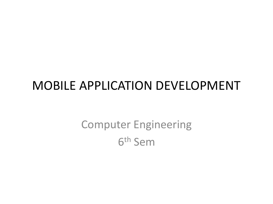#### MOBILE APPLICATION DEVELOPMENT

Computer Engineering 6 th Sem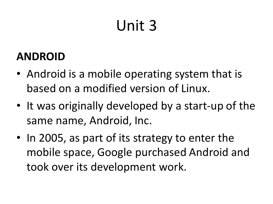# Unit 3

#### **ANDROID**

- Android is a mobile operating system that is based on a modified version of Linux.
- It was originally developed by a start-up of the same name, Android, Inc.
- In 2005, as part of its strategy to enter the mobile space, Google purchased Android and took over its development work.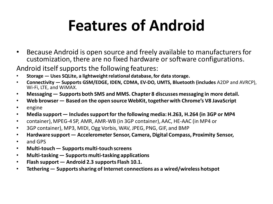## **Features of Android**

• Because Android is open source and freely available to manufacturers for customization, there are no fixed hardware or software configurations.

Android itself supports the following features:

- **Storage — Uses SQLite, a lightweightrelational database, for data storage.**
- **Connectivity — Supports GSM/EDGE, IDEN, CDMA, EV-DO, UMTS, Bluetooth (includes** A2DP and AVRCP), Wi-Fi, LTE, and WiMAX.
- **Messaging— Supports both SMS and MMS. Chapter 8 discusses messaging in more detail.**
- **Web browser — Based on the open source WebKit,together with Chrome's V8 JavaScript**
- engine
- **Media support — Includessupportfor the following media: H.263, H.264 (in 3GP or MP4**
- container), MPEG-4 SP, AMR, AMR-WB (in 3GP container), AAC, HE-AAC (in MP4 or
- 3GP container), MP3, MIDI, Ogg Vorbis, WAV, JPEG, PNG, GIF, and BMP
- **Hardware support — Accelerometer Sensor, Camera, Digital Compass, Proximity Sensor,**
- and GPS
- **Multi-touch— Supports multi-touch screens**
- **Multi-tasking— Supports multi-tasking applications**
- **Flash support — Android 2.3 supports Flash 10.1.**
- **Tethering— Supportssharing of Internet connections as a wired/wireless hotspot**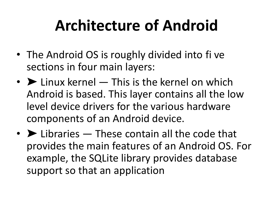## **Architecture of Android**

- The Android OS is roughly divided into fi ve sections in four main layers:
- $\triangleright$  Linux kernel  $-$  This is the kernel on which Android is based. This layer contains all the low level device drivers for the various hardware components of an Android device.
- $\bullet\blacktriangleright$  Libraries  $-$  These contain all the code that provides the main features of an Android OS. For example, the SQLite library provides database support so that an application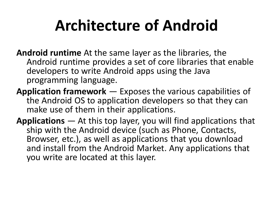## **Architecture of Android**

- **Android runtime** At the same layer as the libraries, the Android runtime provides a set of core libraries that enable developers to write Android apps using the Java programming language.
- **Application framework**  Exposes the various capabilities of the Android OS to application developers so that they can make use of them in their applications.
- **Applications** At this top layer, you will find applications that ship with the Android device (such as Phone, Contacts, Browser, etc.), as well as applications that you download and install from the Android Market. Any applications that you write are located at this layer.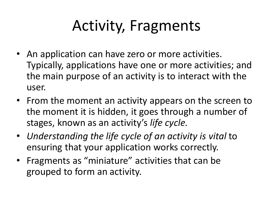# Activity, Fragments

- An application can have zero or more activities. Typically, applications have one or more activities; and the main purpose of an activity is to interact with the user.
- From the moment an activity appears on the screen to the moment it is hidden, it goes through a number of stages, known as an activity's *life cycle.*
- *Understanding the life cycle of an activity is vital* to ensuring that your application works correctly.
- Fragments as "miniature" activities that can be grouped to form an activity.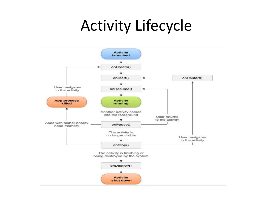### Activity Lifecycle

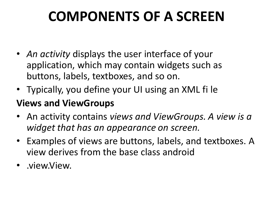#### **COMPONENTS OF A SCREEN**

- *An activity* displays the user interface of your application, which may contain widgets such as buttons, labels, textboxes, and so on.
- Typically, you define your UI using an XML fi le

#### **Views and ViewGroups**

- An activity contains *views and ViewGroups. A view is a widget that has an appearance on screen.*
- Examples of views are buttons, labels, and textboxes. A view derives from the base class android
- .view.View.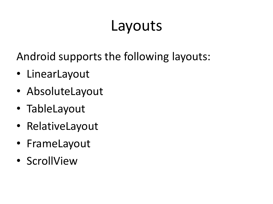#### Layouts

Android supports the following layouts:

- LinearLayout
- AbsoluteLayout
- TableLayout
- RelativeLayout
- FrameLayout
- ScrollView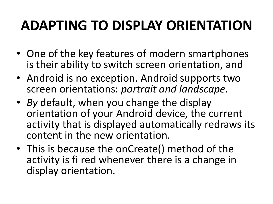#### **ADAPTING TO DISPLAY ORIENTATION**

- One of the key features of modern smartphones is their ability to switch screen orientation, and
- Android is no exception. Android supports two screen orientations: *portrait and landscape.*
- *By* default, when you change the display orientation of your Android device, the current activity that is displayed automatically redraws its content in the new orientation.
- This is because the onCreate() method of the activity is fi red whenever there is a change in display orientation.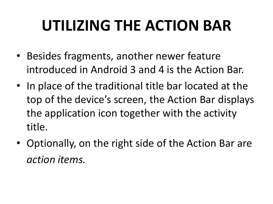# **UTILIZING THE ACTION BAR**

- Besides fragments, another newer feature introduced in Android 3 and 4 is the Action Bar.
- In place of the traditional title bar located at the top of the device's screen, the Action Bar displays the application icon together with the activity title.
- Optionally, on the right side of the Action Bar are *action items.*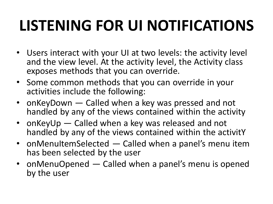# **LISTENING FOR UI NOTIFICATIONS**

- Users interact with your UI at two levels: the activity level and the view level. At the activity level, the Activity class exposes methods that you can override.
- Some common methods that you can override in your activities include the following:
- onKeyDown Called when a key was pressed and not handled by any of the views contained within the activity
- onKeyUp Called when a key was released and not handled by any of the views contained within the activitY
- onMenuItemSelected Called when a panel's menu item has been selected by the user
- onMenuOpened Called when a panel's menu is opened by the user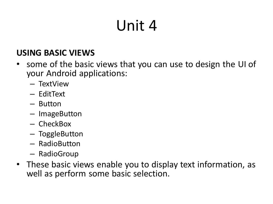# Unit 4

#### **USING BASIC VIEWS**

- some of the basic views that you can use to design the UI of your Android applications:
	- TextView
	- EditText
	- Button
	- ImageButton
	- CheckBox
	- ToggleButton
	- RadioButton
	- RadioGroup
- These basic views enable you to display text information, as well as perform some basic selection.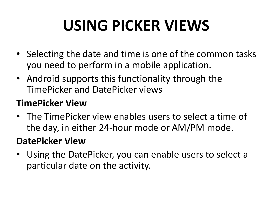# **USING PICKER VIEWS**

- Selecting the date and time is one of the common tasks you need to perform in a mobile application.
- Android supports this functionality through the TimePicker and DatePicker views

#### **TimePicker View**

• The TimePicker view enables users to select a time of the day, in either 24-hour mode or AM/PM mode.

#### **DatePicker View**

• Using the DatePicker, you can enable users to select a particular date on the activity.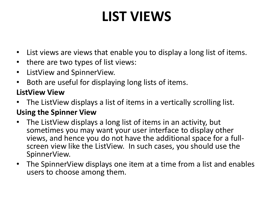### **LIST VIEWS**

- List views are views that enable you to display a long list of items.
- there are two types of list views:
- ListView and SpinnerView.
- Both are useful for displaying long lists of items.

#### **ListView View**

• The ListView displays a list of items in a vertically scrolling list.

#### **Using the Spinner View**

- The ListView displays a long list of items in an activity, but sometimes you may want your user interface to display other views, and hence you do not have the additional space for a fullscreen view like the ListView. In such cases, you should use the SpinnerView.
- The SpinnerView displays one item at a time from a list and enables users to choose among them.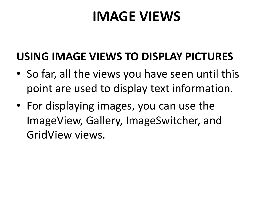#### **IMAGE VIEWS**

#### **USING IMAGE VIEWS TO DISPLAY PICTURES**

- So far, all the views you have seen until this point are used to display text information.
- For displaying images, you can use the ImageView, Gallery, ImageSwitcher, and GridView views.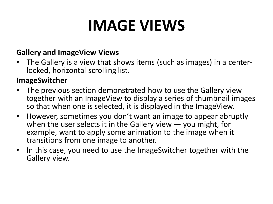## **IMAGE VIEWS**

#### **Gallery and ImageView Views**

• The Gallery is a view that shows items (such as images) in a centerlocked, horizontal scrolling list.

#### **ImageSwitcher**

- The previous section demonstrated how to use the Gallery view together with an ImageView to display a series of thumbnail images so that when one is selected, it is displayed in the ImageView.
- However, sometimes you don't want an image to appear abruptly when the user selects it in the Gallery view  $-$  you might, for example, want to apply some animation to the image when it transitions from one image to another.
- In this case, you need to use the ImageSwitcher together with the Gallery view.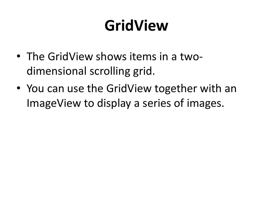# **GridView**

- The GridView shows items in a twodimensional scrolling grid.
- You can use the GridView together with an ImageView to display a series of images.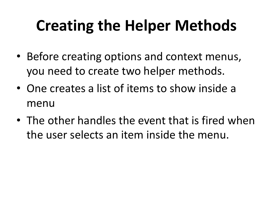# **Creating the Helper Methods**

- Before creating options and context menus, you need to create two helper methods.
- One creates a list of items to show inside a menu
- The other handles the event that is fired when the user selects an item inside the menu.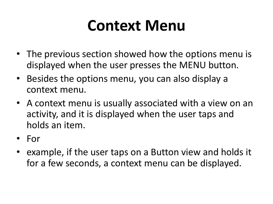### **Context Menu**

- The previous section showed how the options menu is displayed when the user presses the MENU button.
- Besides the options menu, you can also display a context menu.
- A context menu is usually associated with a view on an activity, and it is displayed when the user taps and holds an item.
- For
- example, if the user taps on a Button view and holds it for a few seconds, a context menu can be displayed.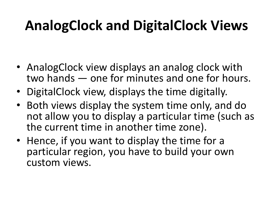### **AnalogClock and DigitalClock Views**

- AnalogClock view displays an analog clock with two hands — one for minutes and one for hours.
- DigitalClock view, displays the time digitally.
- Both views display the system time only, and do not allow you to display a particular time (such as the current time in another time zone).
- Hence, if you want to display the time for a particular region, you have to build your own custom views.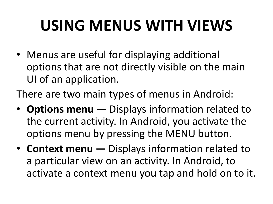# **USING MENUS WITH VIEWS**

• Menus are useful for displaying additional options that are not directly visible on the main UI of an application.

There are two main types of menus in Android:

- **Options menu**  Displays information related to the current activity. In Android, you activate the options menu by pressing the MENU button.
- **Context menu —** Displays information related to a particular view on an activity. In Android, to activate a context menu you tap and hold on to it.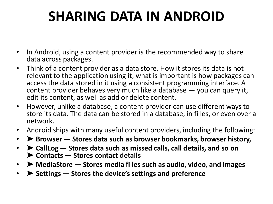#### **SHARING DATA IN ANDROID**

- In Android, using a content provider is the recommended way to share data across packages.
- Think of a content provider as a data store. How it stores its data is not relevant to the application using it; what is important is how packages can access the data stored in it using a consistent programming interface. A content provider behaves very much like a database — you can query it, edit its content, as well as add or delete content.
- However, unlike a database, a content provider can use different ways to store its data. The data can be stored in a database, in fi les, or even over a network.
- Android ships with many useful content providers, including the following:
- ➤ **Browser — Stores data such as browser bookmarks, browser history,**
- ➤ **CallLog — Stores data such as missed calls, call details, and so on**  ➤ **Contacts — Stores contact details**
- ➤ **MediaStore — Stores media fi les such as audio, video, and images**
- ➤ **Settings — Stores the device's settings and preference**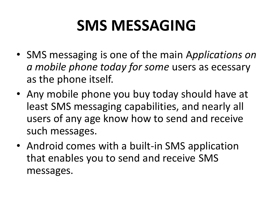## **SMS MESSAGING**

- SMS messaging is one of the main A*pplications on a mobile phone today for some* users as ecessary as the phone itself.
- Any mobile phone you buy today should have at least SMS messaging capabilities, and nearly all users of any age know how to send and receive such messages.
- Android comes with a built-in SMS application that enables you to send and receive SMS messages.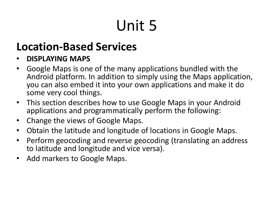# Unit 5

#### **Location-Based Services**

#### • **DISPLAYING MAPS**

- Google Maps is one of the many applications bundled with the Android platform. In addition to simply using the Maps application, you can also embed it into your own applications and make it do some very cool things.
- This section describes how to use Google Maps in your Android applications and programmatically perform the following:
- Change the views of Google Maps.
- Obtain the latitude and longitude of locations in Google Maps.
- Perform geocoding and reverse geocoding (translating an address to latitude and longitude and vice versa).
- Add markers to Google Maps.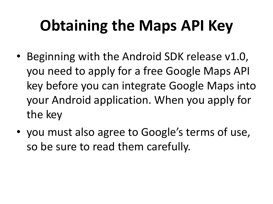# **Obtaining the Maps API Key**

- Beginning with the Android SDK release v1.0, you need to apply for a free Google Maps API key before you can integrate Google Maps into your Android application. When you apply for the key
- you must also agree to Google's terms of use, so be sure to read them carefully.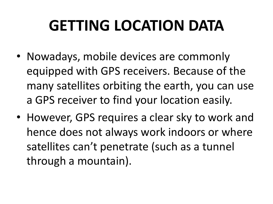## **GETTING LOCATION DATA**

- Nowadays, mobile devices are commonly equipped with GPS receivers. Because of the many satellites orbiting the earth, you can use a GPS receiver to find your location easily.
- However, GPS requires a clear sky to work and hence does not always work indoors or where satellites can't penetrate (such as a tunnel through a mountain).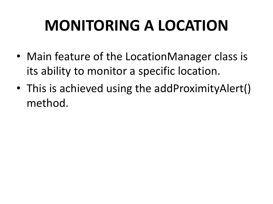# **MONITORING A LOCATION**

- Main feature of the LocationManager class is its ability to monitor a specific location.
- This is achieved using the addProximityAlert() method.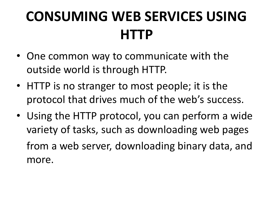### **CONSUMING WEB SERVICES USING HTTP**

- One common way to communicate with the outside world is through HTTP.
- HTTP is no stranger to most people; it is the protocol that drives much of the web's success.
- Using the HTTP protocol, you can perform a wide variety of tasks, such as downloading web pages from a web server, downloading binary data, and more.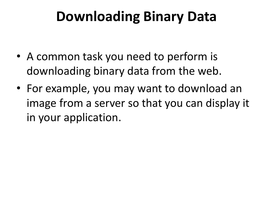#### **Downloading Binary Data**

- A common task you need to perform is downloading binary data from the web.
- For example, you may want to download an image from a server so that you can display it in your application.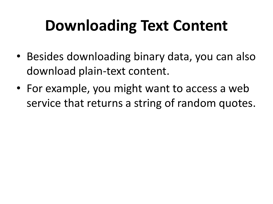# **Downloading Text Content**

- Besides downloading binary data, you can also download plain-text content.
- For example, you might want to access a web service that returns a string of random quotes.